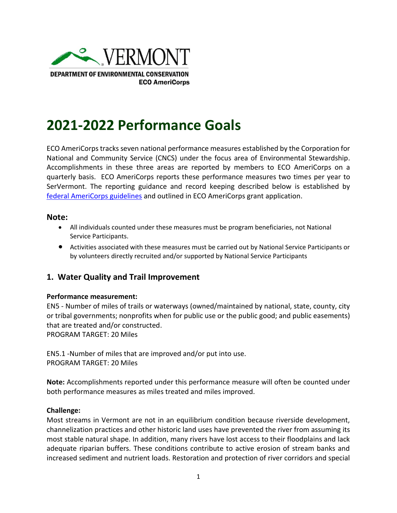

# **2021-2022 Performance Goals**

ECO AmeriCorps tracks seven national performance measures established by the Corporation for National and Community Service (CNCS) under the focus area of Environmental Stewardship. Accomplishments in these three areas are reported by members to ECO AmeriCorps on a quarterly basis. ECO AmeriCorps reports these performance measures two times per year to SerVermont. The reporting guidance and record keeping described below is established by [federal AmeriCorps guidelines](https://volunteer.wv.gov/Grants/Documents/ASN%202021%20Performance%20Measures%20Instructions.pdf) and outlined in ECO AmeriCorps grant application.

#### **Note:**

- All individuals counted under these measures must be program beneficiaries, not National Service Participants.
- Activities associated with these measures must be carried out by National Service Participants or by volunteers directly recruited and/or supported by National Service Participants

## **1. Water Quality and Trail Improvement**

#### **Performance measurement:**

EN5 - Number of miles of trails or waterways (owned/maintained by national, state, county, city or tribal governments; nonprofits when for public use or the public good; and public easements) that are treated and/or constructed.

PROGRAM TARGET: 20 Miles

EN5.1 -Number of miles that are improved and/or put into use. PROGRAM TARGET: 20 Miles

**Note:** Accomplishments reported under this performance measure will often be counted under both performance measures as miles treated and miles improved.

#### **Challenge:**

Most streams in Vermont are not in an equilibrium condition because riverside development, channelization practices and other historic land uses have prevented the river from assuming its most stable natural shape. In addition, many rivers have lost access to their floodplains and lack adequate riparian buffers. These conditions contribute to active erosion of stream banks and increased sediment and nutrient loads. Restoration and protection of river corridors and special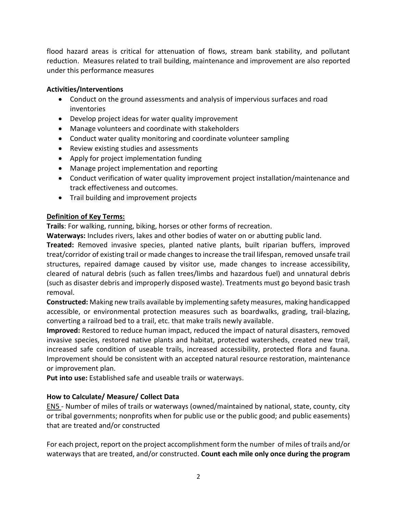flood hazard areas is critical for attenuation of flows, stream bank stability, and pollutant reduction. Measures related to trail building, maintenance and improvement are also reported under this performance measures

## **Activities/Interventions**

- Conduct on the ground assessments and analysis of impervious surfaces and road inventories
- Develop project ideas for water quality improvement
- Manage volunteers and coordinate with stakeholders
- Conduct water quality monitoring and coordinate volunteer sampling
- Review existing studies and assessments
- Apply for project implementation funding
- Manage project implementation and reporting
- Conduct verification of water quality improvement project installation/maintenance and track effectiveness and outcomes.
- Trail building and improvement projects

### **Definition of Key Terms:**

**Trails**: For walking, running, biking, horses or other forms of recreation.

**Waterways:** Includes rivers, lakes and other bodies of water on or abutting public land.

**Treated:** Removed invasive species, planted native plants, built riparian buffers, improved treat/corridor of existing trail or made changes to increase the trail lifespan, removed unsafe trail structures, repaired damage caused by visitor use, made changes to increase accessibility, cleared of natural debris (such as fallen trees/limbs and hazardous fuel) and unnatural debris (such as disaster debris and improperly disposed waste). Treatments must go beyond basic trash removal.

**Constructed:** Making new trails available by implementing safety measures, making handicapped accessible, or environmental protection measures such as boardwalks, grading, trail-blazing, converting a railroad bed to a trail, etc. that make trails newly available.

**Improved:** Restored to reduce human impact, reduced the impact of natural disasters, removed invasive species, restored native plants and habitat, protected watersheds, created new trail, increased safe condition of useable trails, increased accessibility, protected flora and fauna. Improvement should be consistent with an accepted natural resource restoration, maintenance or improvement plan.

**Put into use:** Established safe and useable trails or waterways.

### **How to Calculate/ Measure/ Collect Data**

EN5 - Number of miles of trails or waterways (owned/maintained by national, state, county, city or tribal governments; nonprofits when for public use or the public good; and public easements) that are treated and/or constructed

For each project, report on the project accomplishment form the number of miles of trails and/or waterways that are treated, and/or constructed. **Count each mile only once during the program**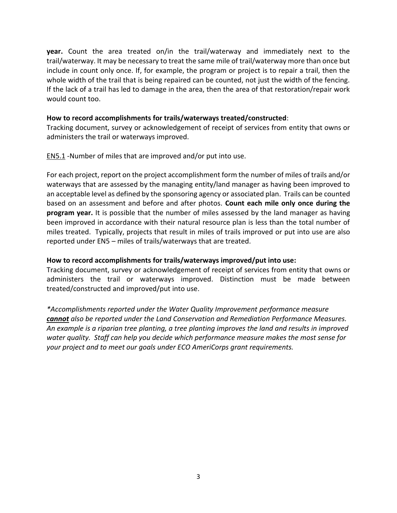**year.** Count the area treated on/in the trail/waterway and immediately next to the trail/waterway. It may be necessary to treat the same mile of trail/waterway more than once but include in count only once. If, for example, the program or project is to repair a trail, then the whole width of the trail that is being repaired can be counted, not just the width of the fencing. If the lack of a trail has led to damage in the area, then the area of that restoration/repair work would count too.

#### **How to record accomplishments for trails/waterways treated/constructed**:

Tracking document, survey or acknowledgement of receipt of services from entity that owns or administers the trail or waterways improved.

EN5.1 -Number of miles that are improved and/or put into use.

For each project, report on the project accomplishment form the number of miles of trails and/or waterways that are assessed by the managing entity/land manager as having been improved to an acceptable level as defined by the sponsoring agency or associated plan. Trails can be counted based on an assessment and before and after photos. **Count each mile only once during the program year.** It is possible that the number of miles assessed by the land manager as having been improved in accordance with their natural resource plan is less than the total number of miles treated. Typically, projects that result in miles of trails improved or put into use are also reported under EN5 – miles of trails/waterways that are treated.

#### **How to record accomplishments for trails/waterways improved/put into use:**

Tracking document, survey or acknowledgement of receipt of services from entity that owns or administers the trail or waterways improved. Distinction must be made between treated/constructed and improved/put into use.

*\*Accomplishments reported under the Water Quality Improvement performance measure cannot also be reported under the Land Conservation and Remediation Performance Measures. An example is a riparian tree planting, a tree planting improves the land and results in improved water quality. Staff can help you decide which performance measure makes the most sense for your project and to meet our goals under ECO AmeriCorps grant requirements.*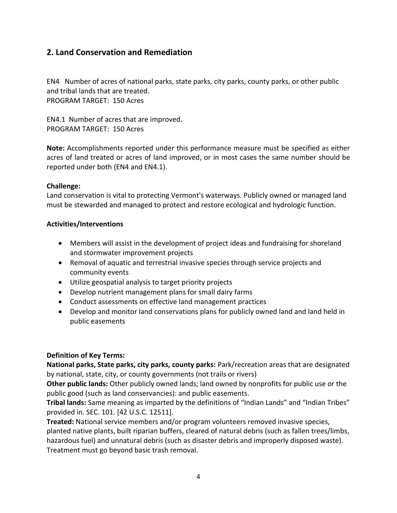## **2. Land Conservation and Remediation**

EN4 Number of acres of national parks, state parks, city parks, county parks, or other public and tribal lands that are treated. PROGRAM TARGET: 150 Acres

EN4.1 Number of acres that are improved. PROGRAM TARGET: 150 Acres

**Note:** Accomplishments reported under this performance measure must be specified as either acres of land treated or acres of land improved, or in most cases the same number should be reported under both (EN4 and EN4.1).

#### **Challenge:**

Land conservation is vital to protecting Vermont's waterways. Publicly owned or managed land must be stewarded and managed to protect and restore ecological and hydrologic function.

#### **Activities/Interventions**

- Members will assist in the development of project ideas and fundraising for shoreland and stormwater improvement projects
- Removal of aquatic and terrestrial invasive species through service projects and community events
- Utilize geospatial analysis to target priority projects
- Develop nutrient management plans for small dairy farms
- Conduct assessments on effective land management practices
- Develop and monitor land conservations plans for publicly owned land and land held in public easements

### **Definition of Key Terms:**

**National parks, State parks, city parks, county parks:** Park/recreation areas that are designated by national, state, city, or county governments (not trails or rivers)

**Other public lands:** Other publicly owned lands; land owned by nonprofits for public use or the public good (such as land conservancies): and public easements.

**Tribal lands:** Same meaning as imparted by the definitions of "Indian Lands" and "Indian Tribes" provided in. SEC. 101. [42 U.S.C. 12511].

**Treated:** National service members and/or program volunteers removed invasive species, planted native plants, built riparian buffers, cleared of natural debris (such as fallen trees/limbs, hazardous fuel) and unnatural debris (such as disaster debris and improperly disposed waste). Treatment must go beyond basic trash removal.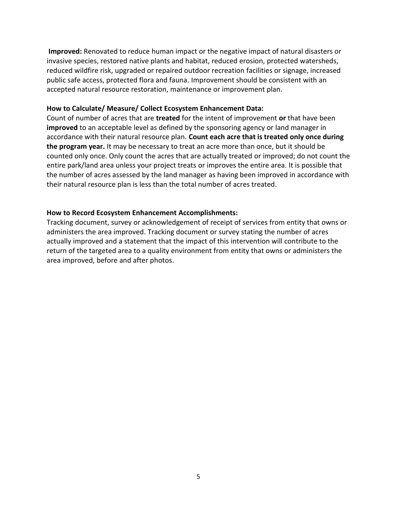**Improved:** Renovated to reduce human impact or the negative impact of natural disasters or invasive species, restored native plants and habitat, reduced erosion, protected watersheds, reduced wildfire risk, upgraded or repaired outdoor recreation facilities or signage, increased public safe access, protected flora and fauna. Improvement should be consistent with an accepted natural resource restoration, maintenance or improvement plan.

#### **How to Calculate/ Measure/ Collect Ecosystem Enhancement Data:**

Count of number of acres that are **treated** for the intent of improvement **or** that have been **improved** to an acceptable level as defined by the sponsoring agency or land manager in accordance with their natural resource plan. **Count each acre that is treated only once during the program year.** It may be necessary to treat an acre more than once, but it should be counted only once. Only count the acres that are actually treated or improved; do not count the entire park/land area unless your project treats or improves the entire area. It is possible that the number of acres assessed by the land manager as having been improved in accordance with their natural resource plan is less than the total number of acres treated.

#### **How to Record Ecosystem Enhancement Accomplishments:**

Tracking document, survey or acknowledgement of receipt of services from entity that owns or administers the area improved. Tracking document or survey stating the number of acres actually improved and a statement that the impact of this intervention will contribute to the return of the targeted area to a quality environment from entity that owns or administers the area improved, before and after photos.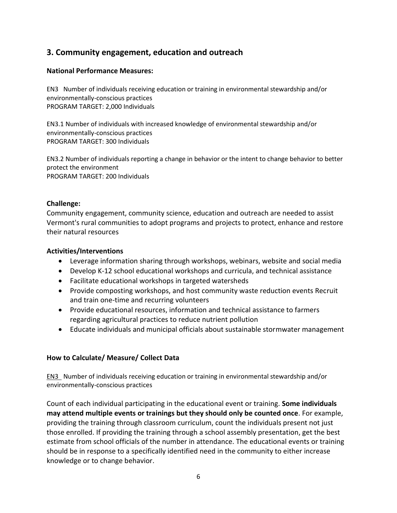# **3. Community engagement, education and outreach**

#### **National Performance Measures:**

EN3 Number of individuals receiving education or training in environmental stewardship and/or environmentally-conscious practices PROGRAM TARGET: 2,000 Individuals

EN3.1 Number of individuals with increased knowledge of environmental stewardship and/or environmentally-conscious practices PROGRAM TARGET: 300 Individuals

EN3.2 Number of individuals reporting a change in behavior or the intent to change behavior to better protect the environment PROGRAM TARGET: 200 Individuals

#### **Challenge:**

Community engagement, community science, education and outreach are needed to assist Vermont's rural communities to adopt programs and projects to protect, enhance and restore their natural resources

#### **Activities/Interventions**

- Leverage information sharing through workshops, webinars, website and social media
- Develop K-12 school educational workshops and curricula, and technical assistance
- Facilitate educational workshops in targeted watersheds
- Provide composting workshops, and host community waste reduction events Recruit and train one-time and recurring volunteers
- Provide educational resources, information and technical assistance to farmers regarding agricultural practices to reduce nutrient pollution
- Educate individuals and municipal officials about sustainable stormwater management

### **How to Calculate/ Measure/ Collect Data**

EN3 Number of individuals receiving education or training in environmental stewardship and/or environmentally-conscious practices

Count of each individual participating in the educational event or training. **Some individuals may attend multiple events or trainings but they should only be counted once**. For example, providing the training through classroom curriculum, count the individuals present not just those enrolled. If providing the training through a school assembly presentation, get the best estimate from school officials of the number in attendance. The educational events or training should be in response to a specifically identified need in the community to either increase knowledge or to change behavior.